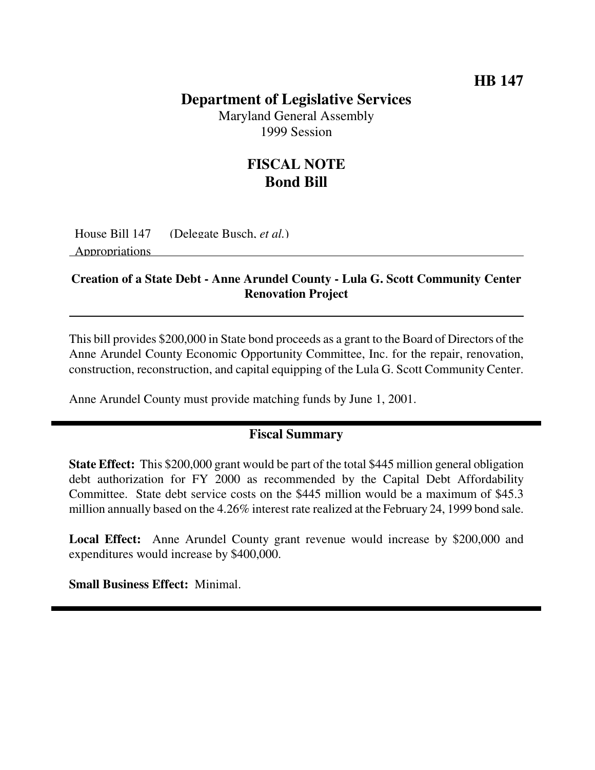### **HB 147**

## **Department of Legislative Services**

Maryland General Assembly 1999 Session

## **FISCAL NOTE Bond Bill**

House Bill 147 (Delegate Busch, *et al.*) Appropriations

#### **Creation of a State Debt - Anne Arundel County - Lula G. Scott Community Center Renovation Project**

This bill provides \$200,000 in State bond proceeds as a grant to the Board of Directors of the Anne Arundel County Economic Opportunity Committee, Inc. for the repair, renovation, construction, reconstruction, and capital equipping of the Lula G. Scott Community Center.

Anne Arundel County must provide matching funds by June 1, 2001.

#### **Fiscal Summary**

**State Effect:** This \$200,000 grant would be part of the total \$445 million general obligation debt authorization for FY 2000 as recommended by the Capital Debt Affordability Committee. State debt service costs on the \$445 million would be a maximum of \$45.3 million annually based on the 4.26% interest rate realized at the February 24, 1999 bond sale.

**Local Effect:** Anne Arundel County grant revenue would increase by \$200,000 and expenditures would increase by \$400,000.

**Small Business Effect:** Minimal.